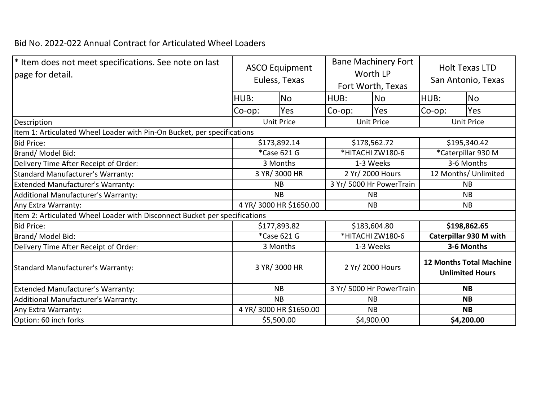## Bid No. 2022-022 Annual Contract for Articulated Wheel Loaders

| * Item does not meet specifications. See note on last<br>page for detail.  | <b>ASCO Equipment</b><br>Euless, Texas |                         | <b>Bane Machinery Fort</b><br>Worth LP<br>Fort Worth, Texas |                          | <b>Holt Texas LTD</b><br>San Antonio, Texas              |           |  |
|----------------------------------------------------------------------------|----------------------------------------|-------------------------|-------------------------------------------------------------|--------------------------|----------------------------------------------------------|-----------|--|
|                                                                            | HUB:                                   | <b>No</b>               | HUB:                                                        | <b>No</b>                | HUB:                                                     | <b>No</b> |  |
|                                                                            | Co-op:                                 | Yes                     | Co-op:                                                      | <b>Yes</b>               | Co-op:                                                   | Yes       |  |
| Description                                                                |                                        | <b>Unit Price</b>       | <b>Unit Price</b>                                           |                          | <b>Unit Price</b>                                        |           |  |
| Item 1: Articulated Wheel Loader with Pin-On Bucket, per specifications    |                                        |                         |                                                             |                          |                                                          |           |  |
| <b>Bid Price:</b>                                                          |                                        | \$173,892.14            | \$178,562.72                                                |                          | \$195,340.42                                             |           |  |
| Brand/Model Bid:                                                           |                                        | *Case 621 G             | *HITACHI ZW180-6                                            |                          | *Caterpillar 930 M                                       |           |  |
| Delivery Time After Receipt of Order:                                      |                                        | 3 Months                | 1-3 Weeks                                                   |                          | 3-6 Months                                               |           |  |
| Standard Manufacturer's Warranty:                                          |                                        | 3 YR/ 3000 HR           | 2 Yr/ 2000 Hours                                            |                          | 12 Months/ Unlimited                                     |           |  |
| Extended Manufacturer's Warranty:                                          |                                        | <b>NB</b>               | 3 Yr/ 5000 Hr PowerTrain                                    |                          | <b>NB</b>                                                |           |  |
| Additional Manufacturer's Warranty:                                        |                                        | <b>NB</b>               | <b>NB</b>                                                   |                          | <b>NB</b>                                                |           |  |
| Any Extra Warranty:                                                        | 4 YR/ 3000 HR \$1650.00                |                         |                                                             | <b>NB</b>                |                                                          | <b>NB</b> |  |
| Item 2: Articulated Wheel Loader with Disconnect Bucket per specifications |                                        |                         |                                                             |                          |                                                          |           |  |
| <b>Bid Price:</b>                                                          |                                        | \$177,893.82            | \$183,604.80                                                |                          | \$198,862.65                                             |           |  |
| Brand/Model Bid:                                                           |                                        | *Case 621 G             | *HITACHI ZW180-6                                            |                          | Caterpillar 930 M with                                   |           |  |
| Delivery Time After Receipt of Order:                                      |                                        | 3 Months                | 1-3 Weeks                                                   |                          | 3-6 Months                                               |           |  |
| Standard Manufacturer's Warranty:                                          |                                        | 3 YR/ 3000 HR           | 2 Yr/ 2000 Hours                                            |                          | <b>12 Months Total Machine</b><br><b>Unlimited Hours</b> |           |  |
| <b>Extended Manufacturer's Warranty:</b>                                   |                                        | <b>NB</b>               |                                                             | 3 Yr/ 5000 Hr PowerTrain |                                                          | <b>NB</b> |  |
| Additional Manufacturer's Warranty:                                        |                                        | <b>NB</b>               | <b>NB</b>                                                   |                          | <b>NB</b>                                                |           |  |
| Any Extra Warranty:                                                        |                                        | 4 YR/ 3000 HR \$1650.00 | <b>NB</b>                                                   |                          | <b>NB</b>                                                |           |  |
| Option: 60 inch forks                                                      |                                        | \$5,500.00              |                                                             | \$4,900.00               | \$4,200.00                                               |           |  |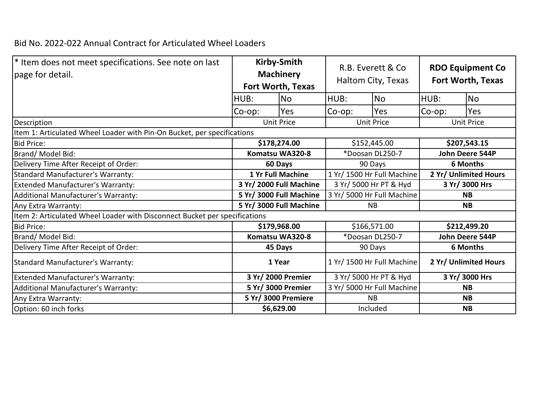## Bid No. 2022-022 Annual Contract for Articulated Wheel Loaders

| * Item does not meet specifications. See note on last<br>page for detail.  | <b>Kirby-Smith</b><br><b>Machinery</b><br>Fort Worth, Texas |                          | R.B. Everett & Co.<br>Haltom City, Texas |                            | <b>RDO Equipment Co</b><br><b>Fort Worth, Texas</b> |                       |  |  |
|----------------------------------------------------------------------------|-------------------------------------------------------------|--------------------------|------------------------------------------|----------------------------|-----------------------------------------------------|-----------------------|--|--|
|                                                                            | HUB:                                                        | <b>No</b>                | HUB:                                     | <b>No</b>                  | HUB:                                                | <b>No</b>             |  |  |
|                                                                            | Co-op:                                                      | Yes                      | Co-op:                                   | Yes                        | Co-op:                                              | Yes                   |  |  |
| Description                                                                | <b>Unit Price</b>                                           |                          | <b>Unit Price</b>                        |                            | <b>Unit Price</b>                                   |                       |  |  |
| Item 1: Articulated Wheel Loader with Pin-On Bucket, per specifications    |                                                             |                          |                                          |                            |                                                     |                       |  |  |
| <b>Bid Price:</b>                                                          | \$178,274.00                                                |                          | \$152,445.00                             |                            | \$207,543.15                                        |                       |  |  |
| Brand/Model Bid:                                                           | Komatsu WA320-8                                             |                          | *Doosan DL250-7                          |                            | John Deere 544P                                     |                       |  |  |
| Delivery Time After Receipt of Order:                                      |                                                             | 60 Days                  | 90 Days                                  |                            | 6 Months                                            |                       |  |  |
| Standard Manufacturer's Warranty:                                          |                                                             | <b>1 Yr Full Machine</b> | 1 Yr/ 1500 Hr Full Machine               |                            | 2 Yr/ Unlimited Hours                               |                       |  |  |
| <b>Extended Manufacturer's Warranty:</b>                                   |                                                             | 3 Yr/ 2000 Full Machine  | 3 Yr/ 5000 Hr PT & Hyd                   |                            | 3 Yr/ 3000 Hrs                                      |                       |  |  |
| Additional Manufacturer's Warranty:                                        |                                                             | 5 Yr/ 3000 Full Machine  |                                          | 3 Yr/ 5000 Hr Full Machine |                                                     | <b>NB</b>             |  |  |
| Any Extra Warranty:                                                        | 5 Yr/ 3000 Full Machine                                     |                          | <b>NB</b>                                |                            | <b>NB</b>                                           |                       |  |  |
| Item 2: Articulated Wheel Loader with Disconnect Bucket per specifications |                                                             |                          |                                          |                            |                                                     |                       |  |  |
| <b>Bid Price:</b>                                                          |                                                             | \$179,968.00             | \$166,571.00                             |                            | \$212,499.20                                        |                       |  |  |
| Brand/Model Bid:                                                           |                                                             | Komatsu WA320-8          | *Doosan DL250-7                          |                            | John Deere 544P                                     |                       |  |  |
| Delivery Time After Receipt of Order:                                      |                                                             | 45 Days                  | 90 Days                                  |                            | <b>6 Months</b>                                     |                       |  |  |
| Standard Manufacturer's Warranty:                                          |                                                             | 1 Year                   |                                          | 1 Yr/ 1500 Hr Full Machine |                                                     | 2 Yr/ Unlimited Hours |  |  |
| Extended Manufacturer's Warranty:                                          | 3 Yr/ 2000 Premier                                          |                          | 3 Yr/ 5000 Hr PT & Hyd                   |                            | 3 Yr/ 3000 Hrs                                      |                       |  |  |
| Additional Manufacturer's Warranty:                                        |                                                             | 5 Yr/ 3000 Premier       |                                          | 3 Yr/ 5000 Hr Full Machine |                                                     | <b>NB</b>             |  |  |
| Any Extra Warranty:                                                        | 5 Yr/ 3000 Premiere                                         |                          | <b>NB</b>                                |                            | <b>NB</b>                                           |                       |  |  |
| Option: 60 inch forks                                                      |                                                             | \$6,629.00               |                                          | Included                   |                                                     | <b>NB</b>             |  |  |